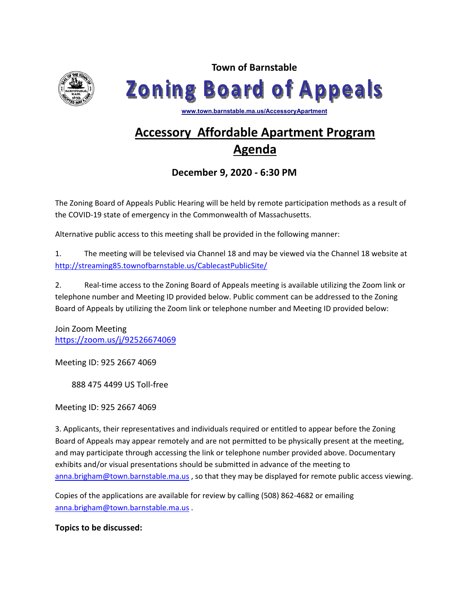

**Town of Barnstable Zoning Board of Appeals** 

**www.town.barnstable.ma.us/AccessoryApartment**

# **Accessory Affordable Apartment Program Agenda**

**December 9, 2020 - 6:30 PM** 

The Zoning Board of Appeals Public Hearing will be held by remote participation methods as a result of the COVID-19 state of emergency in the Commonwealth of Massachusetts.

Alternative public access to this meeting shall be provided in the following manner:

1. The meeting will be televised via Channel 18 and may be viewed via the Channel 18 website at http://streaming85.townofbarnstable.us/CablecastPublicSite/

2. Real-time access to the Zoning Board of Appeals meeting is available utilizing the Zoom link or telephone number and Meeting ID provided below. Public comment can be addressed to the Zoning Board of Appeals by utilizing the Zoom link or telephone number and Meeting ID provided below:

Join Zoom Meeting https://zoom.us/j/92526674069

Meeting ID: 925 2667 4069

888 475 4499 US Toll-free

Meeting ID: 925 2667 4069

3. Applicants, their representatives and individuals required or entitled to appear before the Zoning Board of Appeals may appear remotely and are not permitted to be physically present at the meeting, and may participate through accessing the link or telephone number provided above. Documentary exhibits and/or visual presentations should be submitted in advance of the meeting to anna.brigham@town.barnstable.ma.us, so that they may be displayed for remote public access viewing.

Copies of the applications are available for review by calling (508) 862-4682 or emailing anna.brigham@town.barnstable.ma.us .

**Topics to be discussed:**